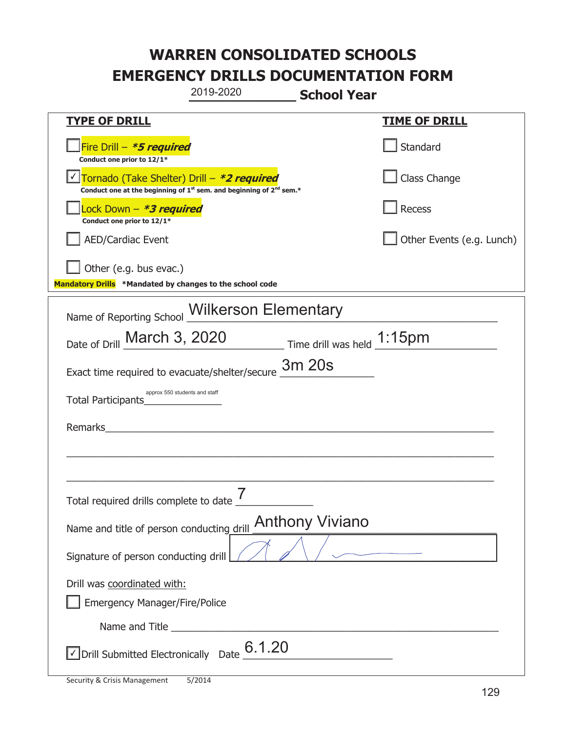|                                                                                    | 2019-2020                                                                                   | <b>School Year</b>            |                           |
|------------------------------------------------------------------------------------|---------------------------------------------------------------------------------------------|-------------------------------|---------------------------|
| <u>TYPE OF DRILL</u>                                                               |                                                                                             |                               | <b>TIME OF DRILL</b>      |
| Fire Drill - *5 required<br>Conduct one prior to 12/1*                             |                                                                                             |                               | Standard                  |
| Tornado (Take Shelter) Drill – *2 required                                         | Conduct one at the beginning of 1 <sup>st</sup> sem. and beginning of 2 <sup>nd</sup> sem.* |                               | Class Change              |
| Lock Down - *3 required<br>Conduct one prior to 12/1*                              |                                                                                             |                               | Recess                    |
| <b>AED/Cardiac Event</b>                                                           |                                                                                             |                               | Other Events (e.g. Lunch) |
| Other (e.g. bus evac.)<br>Mandatory Drills *Mandated by changes to the school code |                                                                                             |                               |                           |
|                                                                                    |                                                                                             |                               |                           |
| Name of Reporting School                                                           | <b>Wilkerson Elementary</b>                                                                 |                               |                           |
| Date of Drill March 3, 2020                                                        |                                                                                             | Time drill was held $1:15$ pm |                           |
| Exact time required to evacuate/shelter/secure                                     |                                                                                             | 3m 20s                        |                           |
| Total Participants                                                                 | approx 550 students and staff                                                               |                               |                           |
| <b>Remarks</b>                                                                     |                                                                                             |                               |                           |
|                                                                                    |                                                                                             |                               |                           |
| Total required drills complete to date '                                           |                                                                                             |                               |                           |
| Name and title of person conducting drill                                          |                                                                                             | <b>Anthony Viviano</b>        |                           |
| Signature of person conducting drill                                               |                                                                                             |                               |                           |
| Drill was coordinated with:                                                        |                                                                                             |                               |                           |
| <b>Emergency Manager/Fire/Police</b>                                               |                                                                                             |                               |                           |
|                                                                                    |                                                                                             |                               |                           |
| $\sqrt{2}$ Drill Submitted Electronically Date $\underline{6}.1.20$                |                                                                                             |                               |                           |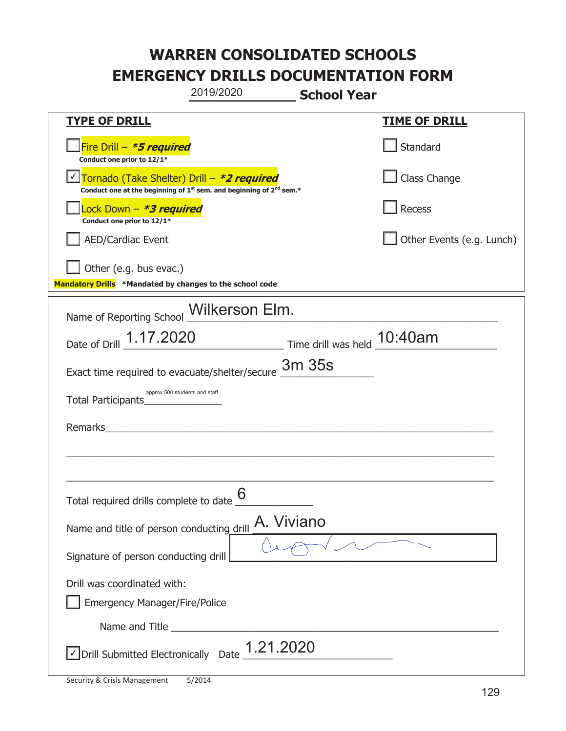|                                                                                    | 2019/2020                                                                                   | <b>School Year</b> |                           |
|------------------------------------------------------------------------------------|---------------------------------------------------------------------------------------------|--------------------|---------------------------|
| <b>TYPE OF DRILL</b>                                                               |                                                                                             |                    | <u>TIME OF DRILL</u>      |
| Fire Drill - *5 required<br>Conduct one prior to 12/1*                             |                                                                                             |                    | Standard                  |
| Tornado (Take Shelter) Drill – *2 required                                         | Conduct one at the beginning of 1 <sup>st</sup> sem. and beginning of 2 <sup>nd</sup> sem.* |                    | Class Change              |
| Lock Down - *3 required<br>Conduct one prior to 12/1*                              |                                                                                             |                    | Recess                    |
| <b>AED/Cardiac Event</b>                                                           |                                                                                             |                    | Other Events (e.g. Lunch) |
| Other (e.g. bus evac.)<br>Mandatory Drills *Mandated by changes to the school code |                                                                                             |                    |                           |
| Name of Reporting School _Wilkerson Elm.                                           |                                                                                             |                    |                           |
| Date of Drill 1.17.2020 Time drill was held 10:40am                                |                                                                                             |                    |                           |
| Exact time required to evacuate/shelter/secure                                     |                                                                                             | 3m 35s             |                           |
| approx 500 students and staff<br>Total Participants                                |                                                                                             |                    |                           |
| Remarks                                                                            |                                                                                             |                    |                           |
|                                                                                    |                                                                                             |                    |                           |
| Total required drills complete to date $6$                                         |                                                                                             |                    |                           |
| Name and title of person conducting drill                                          | A. Viviano                                                                                  |                    |                           |
| Signature of person conducting drill                                               |                                                                                             |                    |                           |
| Drill was coordinated with:<br><b>Emergency Manager/Fire/Police</b>                |                                                                                             |                    |                           |
|                                                                                    |                                                                                             |                    |                           |
| $\vee$ Drill Submitted Electronically Date $\frac{1.21.2020}{ }$                   |                                                                                             |                    |                           |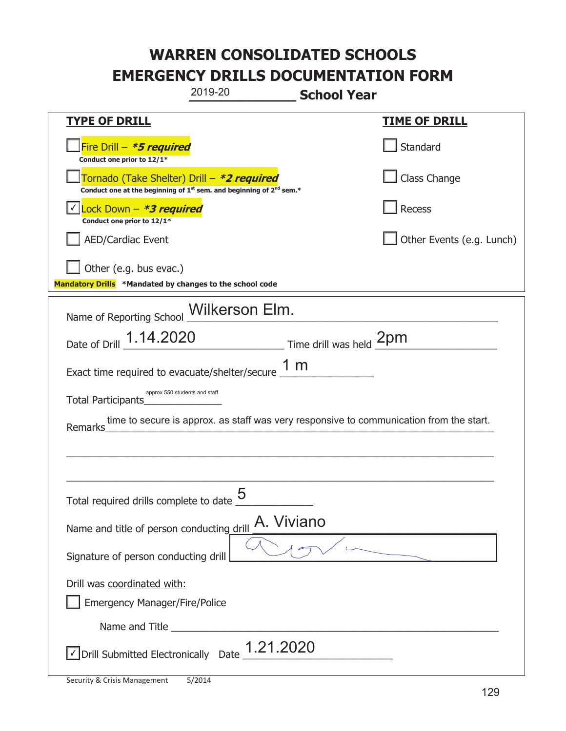| 2019-20<br><b>School Year</b>                                                                                                             |                           |
|-------------------------------------------------------------------------------------------------------------------------------------------|---------------------------|
| <b>TYPE OF DRILL</b>                                                                                                                      | <u>TIME OF DRILL</u>      |
| Fire Drill - *5 required<br>Conduct one prior to 12/1*                                                                                    | Standard                  |
| Tornado (Take Shelter) Drill – *2 required<br>Conduct one at the beginning of 1 <sup>st</sup> sem. and beginning of 2 <sup>nd</sup> sem.* | Class Change              |
| Lock Down - <b>*3 required</b><br>Conduct one prior to 12/1*                                                                              | Recess                    |
| <b>AED/Cardiac Event</b>                                                                                                                  | Other Events (e.g. Lunch) |
| Other (e.g. bus evac.)<br>Mandatory Drills *Mandated by changes to the school code                                                        |                           |
| Name of Reporting School Wilkerson Elm.                                                                                                   |                           |
| Date of Drill 1.14.2020 Time drill was held 2pm                                                                                           |                           |
| Exact time required to evacuate/shelter/secure $\frac{1 \text{ m}}{2}$                                                                    |                           |
| approx 550 students and staff<br>Total Participants                                                                                       |                           |
| time to secure is approx. as staff was very responsive to communication from the start.<br>Remarks                                        |                           |
|                                                                                                                                           |                           |
|                                                                                                                                           |                           |
| 5<br>Total required drills complete to date                                                                                               |                           |
| A. Viviano<br>Name and title of person conducting drill                                                                                   |                           |
| Signature of person conducting drill                                                                                                      |                           |
| Drill was coordinated with:                                                                                                               |                           |
| <b>Emergency Manager/Fire/Police</b>                                                                                                      |                           |
|                                                                                                                                           |                           |
| $\sqrt{\ }$ Drill Submitted Electronically Date $\underline{\hspace{1cm}}$ 1.21.2020                                                      |                           |

T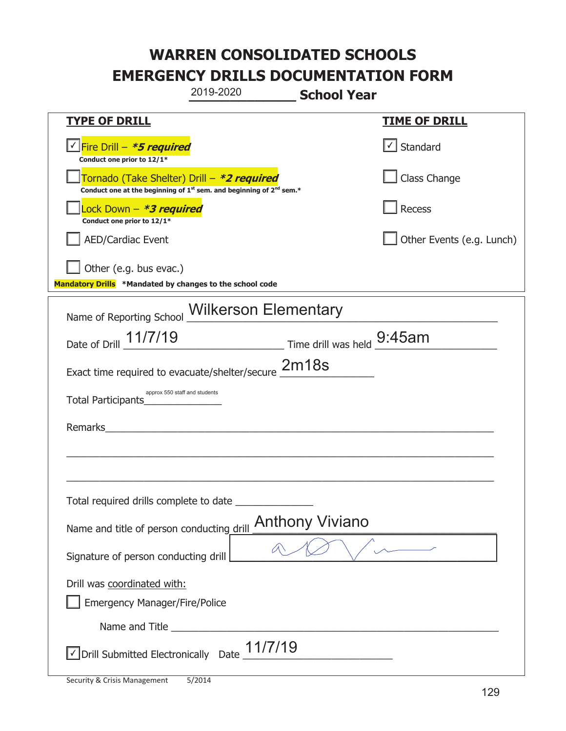|                                                                                    | 2019-2020                                                                                   | <b>School Year</b>     |                           |
|------------------------------------------------------------------------------------|---------------------------------------------------------------------------------------------|------------------------|---------------------------|
| <b>TYPE OF DRILL</b>                                                               |                                                                                             |                        | <b>TIME OF DRILL</b>      |
| √ Fire Drill – <b>*5 required</b><br>Conduct one prior to 12/1*                    |                                                                                             |                        | $\cup$ Standard           |
| Tornado (Take Shelter) Drill – *2 required                                         | Conduct one at the beginning of 1 <sup>st</sup> sem. and beginning of 2 <sup>nd</sup> sem.* |                        | Class Change              |
| Lock Down - <b>*3 required</b><br>Conduct one prior to 12/1*                       |                                                                                             |                        | Recess                    |
| <b>AED/Cardiac Event</b>                                                           |                                                                                             |                        | Other Events (e.g. Lunch) |
| Other (e.g. bus evac.)<br>Mandatory Drills *Mandated by changes to the school code |                                                                                             |                        |                           |
| Name of Reporting School Wilkerson Elementary                                      |                                                                                             |                        |                           |
| Date of Drill 11/7/19 Time drill was held 9:45am                                   |                                                                                             |                        |                           |
| Exact time required to evacuate/shelter/secure 2m18s                               |                                                                                             |                        |                           |
| Total Participants                                                                 | approx 550 staff and students                                                               |                        |                           |
| Remarks                                                                            |                                                                                             |                        |                           |
|                                                                                    |                                                                                             |                        |                           |
| Total required drills complete to date                                             |                                                                                             |                        |                           |
| Name and title of person conducting drill                                          |                                                                                             | <b>Anthony Viviano</b> |                           |
| Signature of person conducting drill                                               |                                                                                             |                        |                           |
| Drill was coordinated with:<br><b>Emergency Manager/Fire/Police</b>                |                                                                                             |                        |                           |
|                                                                                    |                                                                                             |                        |                           |
| √ Drill Submitted Electronically Date                                              | 11/7/19                                                                                     |                        |                           |

t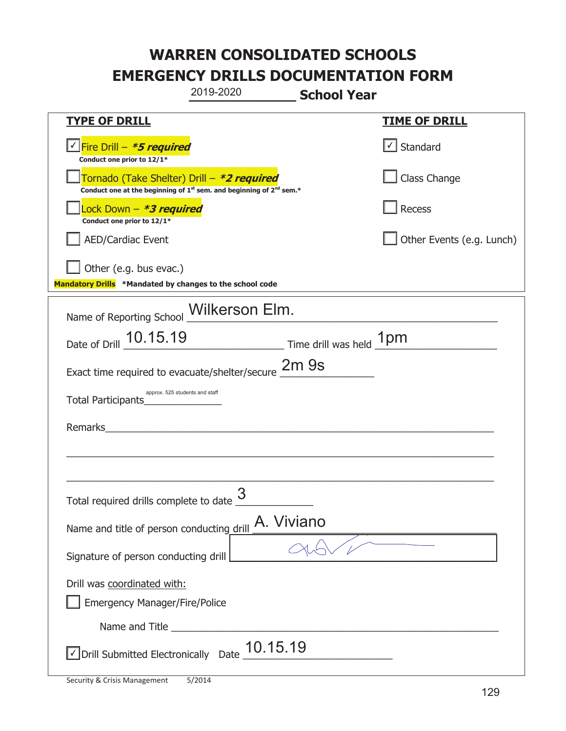|                                                                                    | 2019-2020                                                                                   | <b>School Year</b> |                           |
|------------------------------------------------------------------------------------|---------------------------------------------------------------------------------------------|--------------------|---------------------------|
| <u>TYPE OF DRILL</u>                                                               |                                                                                             |                    | <b>TIME OF DRILL</b>      |
| Fire Drill - *5 required<br>Conduct one prior to 12/1*                             |                                                                                             |                    | $\lfloor$ Standard        |
| Tornado (Take Shelter) Drill – *2 required                                         | Conduct one at the beginning of 1 <sup>st</sup> sem. and beginning of 2 <sup>nd</sup> sem.* |                    | Class Change              |
| Lock Down - *3 required<br>Conduct one prior to 12/1*                              |                                                                                             |                    | Recess                    |
| <b>AED/Cardiac Event</b>                                                           |                                                                                             |                    | Other Events (e.g. Lunch) |
| Other (e.g. bus evac.)<br>Mandatory Drills *Mandated by changes to the school code |                                                                                             |                    |                           |
| Name of Reporting School Milkerson Elm.                                            |                                                                                             |                    |                           |
| Date of Drill 10.15.19                                                             | Time drill was held 1pm                                                                     |                    |                           |
| Exact time required to evacuate/shelter/secure 2m 9s                               |                                                                                             |                    |                           |
| approx. 525 students and staff<br>Total Participants                               |                                                                                             |                    |                           |
| Remarks                                                                            |                                                                                             |                    |                           |
|                                                                                    |                                                                                             |                    |                           |
| Total required drills complete to date $\frac{3}{2}$                               |                                                                                             |                    |                           |
| Name and title of person conducting drill                                          | A. Viviano                                                                                  |                    |                           |
| Signature of person conducting drill                                               |                                                                                             |                    |                           |
| Drill was coordinated with:                                                        |                                                                                             |                    |                           |
| <b>Emergency Manager/Fire/Police</b>                                               |                                                                                             |                    |                           |
|                                                                                    |                                                                                             |                    |                           |
| $\sqrt{\ }$ Drill Submitted Electronically Date $\underline{\hspace{1em}10.15.19}$ |                                                                                             |                    |                           |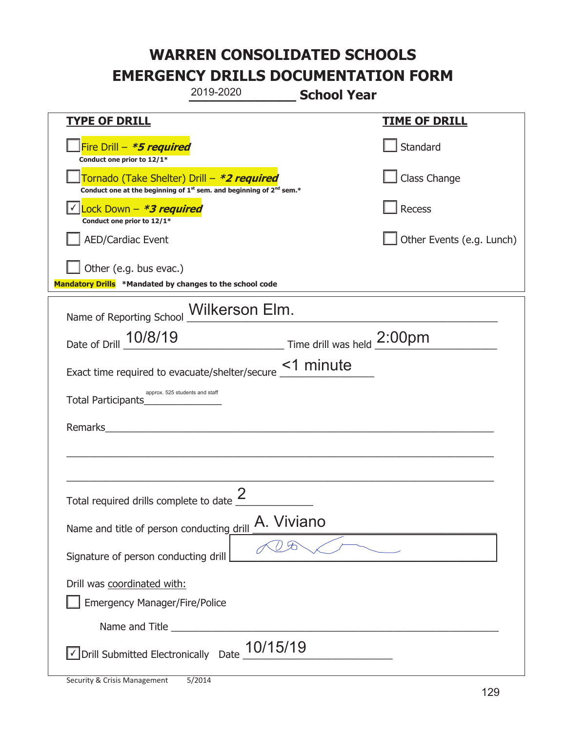|                                                                                             | 2019-2020                                                                                   | <b>School Year</b> |                           |
|---------------------------------------------------------------------------------------------|---------------------------------------------------------------------------------------------|--------------------|---------------------------|
| <u>TYPE OF DRILL</u>                                                                        |                                                                                             |                    | <u>TIME OF DRILL</u>      |
| Fire Drill - *5 required<br>Conduct one prior to 12/1*                                      |                                                                                             |                    | Standard                  |
| Tornado (Take Shelter) Drill – *2 required                                                  | Conduct one at the beginning of 1 <sup>st</sup> sem. and beginning of 2 <sup>nd</sup> sem.* |                    | Class Change              |
| Lock Down - *3 required<br>Conduct one prior to 12/1*                                       |                                                                                             |                    | Recess                    |
| <b>AED/Cardiac Event</b>                                                                    |                                                                                             |                    | Other Events (e.g. Lunch) |
| Other (e.g. bus evac.)<br>Mandatory Drills *Mandated by changes to the school code          |                                                                                             |                    |                           |
| Name of Reporting School _Wilkerson Elm.                                                    |                                                                                             |                    |                           |
| Date of Drill 10/8/19                                                                       | Time drill was held 2:00pm                                                                  |                    |                           |
| Exact time required to evacuate/shelter/secure <u>&lt;1</u> minute                          |                                                                                             |                    |                           |
| approx. 525 students and staff<br>Total Participants                                        |                                                                                             |                    |                           |
| Remarks                                                                                     | <u> 1980 - Jan Barnett, fransk politiker (d. 1980)</u>                                      |                    |                           |
|                                                                                             |                                                                                             |                    |                           |
| Total required drills complete to date $\angle$                                             | 2                                                                                           |                    |                           |
| Name and title of person conducting drill                                                   | A. Viviano                                                                                  |                    |                           |
| Signature of person conducting drill                                                        |                                                                                             |                    |                           |
| Drill was coordinated with:<br><b>Emergency Manager/Fire/Police</b>                         |                                                                                             |                    |                           |
|                                                                                             |                                                                                             |                    |                           |
| $\sqrt{\phantom{a}}$ Drill Submitted Electronically Date $\underline{\phantom{a}}$ 10/15/19 |                                                                                             |                    |                           |